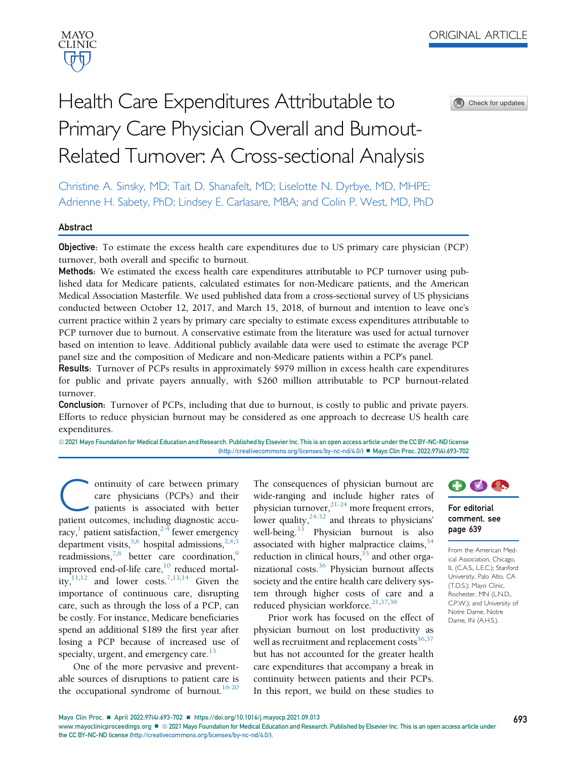

Check for updates

# Health Care Expenditures Attributable to Primary Care Physician Overall and Burnout-Related Turnover: A Cross-sectional Analysis

Christine A. Sinsky, MD; Tait D. Shanafelt, MD; Liselotte N. Dyrbye, MD, MHPE; Adrienne H. Sabety, PhD; Lindsey E. Carlasare, MBA; and Colin P. West, MD, PhD

#### Abstract

Objective: To estimate the excess health care expenditures due to US primary care physician (PCP) turnover, both overall and specific to burnout.

Methods: We estimated the excess health care expenditures attributable to PCP turnover using published data for Medicare patients, calculated estimates for non-Medicare patients, and the American Medical Association Masterfile. We used published data from a cross-sectional survey of US physicians conducted between October 12, 2017, and March 15, 2018, of burnout and intention to leave one's current practice within 2 years by primary care specialty to estimate excess expenditures attributable to PCP turnover due to burnout. A conservative estimate from the literature was used for actual turnover based on intention to leave. Additional publicly available data were used to estimate the average PCP panel size and the composition of Medicare and non-Medicare patients within a PCP's panel.

Results: Turnover of PCPs results in approximately \$979 million in excess health care expenditures for public and private payers annually, with \$260 million attributable to PCP burnout-related turnover.

**Conclusion:** Turnover of PCPs, including that due to burnout, is costly to public and private payers. Efforts to reduce physician burnout may be considered as one approach to decrease US health care expenditures.

@ 2021 Mayo Foundation for Medical Education and Research. Published by Elsevier Inc. This is an open access article under the CC BY-NC-ND license (<http://creativecommons.org/licenses/by-nc-nd/4.0/>) ■ Mayo Clin Proc. 2022;97(4):693-702

ontinuity of care between primary care physicians (PCPs) and their patients is associated with better patient outcomes, including diagnostic accuracy,<sup>1</sup> patient satisfaction,<sup>2-4</sup> fewer emergency department visits,  $5,6$  $5,6$  hospital admissions,  $2,4,5$  $2,4,5$  $2,4,5$ readmissions,<sup>7[,8](#page-7-6)</sup> better care coordination,<sup>[9](#page-8-0)</sup> improved end-of-life care, $^{10}$  reduced mortality, $11,12$  $11,12$  and lower costs.<sup>7,[13](#page-8-4)[,14](#page-8-5)</sup> Given the importance of continuous care, disrupting care, such as through the loss of a PCP, can be costly. For instance, Medicare beneficiaries spend an additional \$189 the first year after losing a PCP because of increased use of specialty, urgent, and emergency care.<sup>15</sup>

One of the more pervasive and preventable sources of disruptions to patient care is the occupational syndrome of burnout. $16-20$  The consequences of physician burnout are wide-ranging and include higher rates of physician turnover,<sup>[21-24](#page-8-8)</sup> more frequent errors, lower quality,  $24-32$  and threats to physicians' well-being.<sup>[33](#page-8-10)</sup> Physician burnout is also associated with higher malpractice claims,  $34$ reduction in clinical hours, $35$  and other organizational costs. $36$  Physician burnout affects society and the entire health care delivery system through higher costs of care and a reduced physician workforce.<sup>21[,37,](#page-8-14)[38](#page-8-15)</sup>

Prior work has focused on the effect of physician burnout on lost productivity as well as recruitment and replacement costs<sup>[36](#page-8-13),[37](#page-8-14)</sup> but has not accounted for the greater health care expenditures that accompany a break in continuity between patients and their PCPs. In this report, we build on these studies to



## For editorial comment, see page 639

From the American Medical Association, Chicago, IL (C.A.S., L.E.C.); Stanford University, Palo Alto, CA (T.D.S.); Mayo Clinic, Rochester, MN (L.N.D., C.P.W.); and University of Notre Dame, Notre Dame, IN (A.H.S.).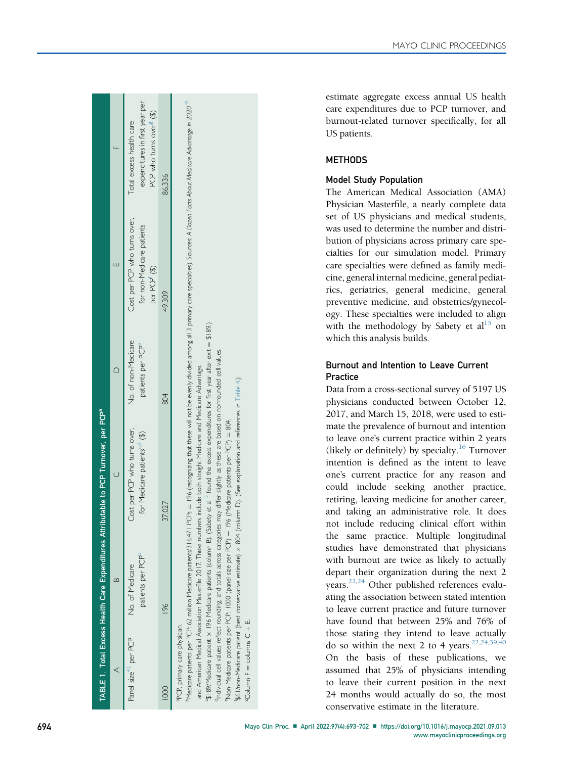<span id="page-1-8"></span><span id="page-1-6"></span><span id="page-1-5"></span><span id="page-1-4"></span><span id="page-1-3"></span><span id="page-1-2"></span><span id="page-1-1"></span><span id="page-1-0"></span>

|                                  |                                                                                                                                | ABLE 1. Total Excess Health Care Expenditures Attributable to PCP Turnover, per PCP <sup>a</sup>                                                                                                                                                                                                                                                                                                                                                                                 |                                                      |                                                                                                                                                                              |                                                                                                    |
|----------------------------------|--------------------------------------------------------------------------------------------------------------------------------|----------------------------------------------------------------------------------------------------------------------------------------------------------------------------------------------------------------------------------------------------------------------------------------------------------------------------------------------------------------------------------------------------------------------------------------------------------------------------------|------------------------------------------------------|------------------------------------------------------------------------------------------------------------------------------------------------------------------------------|----------------------------------------------------------------------------------------------------|
|                                  |                                                                                                                                |                                                                                                                                                                                                                                                                                                                                                                                                                                                                                  |                                                      |                                                                                                                                                                              |                                                                                                    |
| Panel size <sup>42</sup> per PCP | patients per PCP <sup>p</sup><br>No. of Medicare                                                                               | Cost per PCP who tums over,<br>for Medicare patients <sup>co</sup> (\$)                                                                                                                                                                                                                                                                                                                                                                                                          | No. of non-Medicare<br>patients per PCP <sup>e</sup> | Cost per PCP who tums over,<br>for non-Medicare patients<br>per PCP <sup>(\$)</sup>                                                                                          | expenditures in first year per<br>PCP who tums over <sup>\$</sup> (\$)<br>Total excess health care |
|                                  | 196                                                                                                                            | 37,027                                                                                                                                                                                                                                                                                                                                                                                                                                                                           | 804                                                  | 49.309                                                                                                                                                                       | 86.336                                                                                             |
| PCP, primary care physician.     | Medicare patients per PCP: 62 million Medicare patients/316,471<br>"Non-Medicare patients per PCP: 1000 (panel size per PCP) - | 5) 1997 Medicare patient $\times$ 196 Medicare patients (column B). (Sabety et al <sup>15</sup> found the excess expenditures for first year after exit = \$189.)<br>Individual cell values reflect rounding, and totals across categories may differ slightly as these are based on nonrounded cell values.<br>and American Medical Association Masterfile 2017. These numbers include both straight Medicare and Medicare Advantage.<br>196 (Medicare patients per PCP) = 804. |                                                      | PCPs = 196 (recognizing that these will not be evenly divided among all 3 primary care specialties). Sources: A Dozen Focts About Medicare Advantage in 2020 <sup>45</sup> . |                                                                                                    |

f\$61/non-Medicare patient (best conservative estimate) -

\$61/non-Medicare patient (best conservative estimate) x 804  $\vec{u}$ 

 $g_{\text{Column}}$  F  $=$  columns  $C + E$ .

 $^{3}$ Column F = columns C +

804 (column D). (See explanation and references in [Table](#page-4-0) 4.)

(column

D). (See explanation and references in Table 4.)

<span id="page-1-7"></span>MAYO CLINIC PROCEEDINGS

estimate aggregate excess annual US health care expenditures due to PCP turnover, and burnout-related turnover speci fically, for all US patients.

# **METHODS**

# Model Study Population

The American Medical Association (AMA) Physician Master file, a nearly complete data set of US physicians and medical students, was used to determine the number and distribution of physicians across primary care specialties for our simulation model. Primary care specialties were de fined as family medicine, general internal medicine, general pediatrics, geriatrics, general medicine, general preventive medicine, and obstetrics/gynecology. These specialties were included to align with the methodology by Sabety et  $al<sup>15</sup>$  $al<sup>15</sup>$  $al<sup>15</sup>$  on which this analysis builds.

# Burnout and Intention to Leave Current **Practice**

Data from a cross-sectional survey of 5197 US physicians conducted between October 12, 2017, and March 15, 2018, were used to estimate the prevalence of burnout and intention to leave one 's current practice within 2 years (likely or definitely) by specialty.<sup>[16](#page-8-7)</sup> Turnover intention is de fined as the intent to leave one 's current practice for any reason and could include seeking another practice, retiring, leaving medicine for another career, and taking an administrative role. It does not include reducing clinical effort within the same practice. Multiple longitudinal studies have demonstrated that physicians with burnout are twice as likely to actually depart their organization during the next 2 years.<sup>22,[24](#page-8-9)</sup> Other published references evaluating the association between stated intention to leave current practice and future turnover have found that between 25% and 76% of those stating they intend to leave actually do so within the next 2 to 4 years.  $22,24,39,40$  $22,24,39,40$  $22,24,39,40$  $22,24,39,40$  $22,24,39,40$ On the basis of these publications, we assumed that 25% of physicians intending to leave their current position in the next 24 months would actually do so, the most conservative estimate in the literature.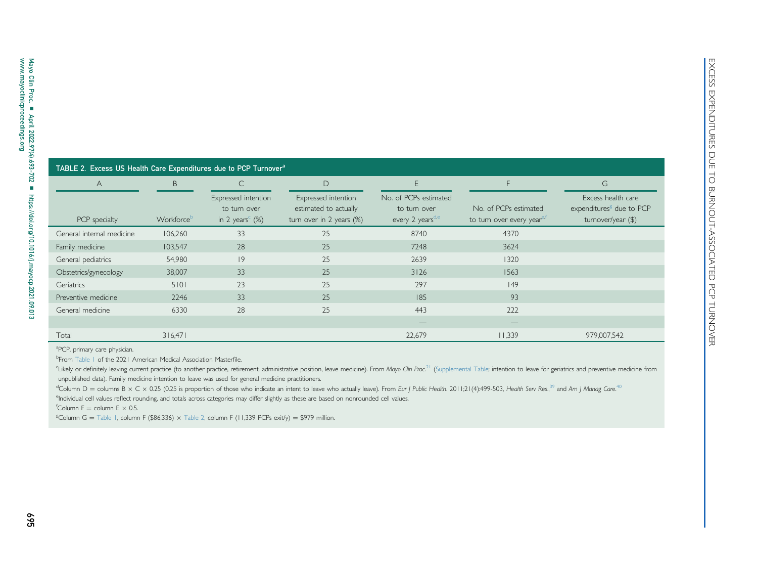<span id="page-2-8"></span><span id="page-2-7"></span>

| TABLE 2. Excess US Health Care Expenditures due to PCP Turnover <sup>a</sup> |            |                                                                                |                                                                          |                                                                       |                                                                 |                                                                                  |
|------------------------------------------------------------------------------|------------|--------------------------------------------------------------------------------|--------------------------------------------------------------------------|-----------------------------------------------------------------------|-----------------------------------------------------------------|----------------------------------------------------------------------------------|
| A                                                                            | B.         | $\mathsf{C}$                                                                   | $\Box$                                                                   | F.                                                                    | F                                                               | G                                                                                |
| PCP specialty                                                                | Workforceb | Expressed intention<br>to tum over<br>in 2 years <sup><math>c</math></sup> (%) | Expressed intention<br>estimated to actually<br>turn over in 2 years (%) | No. of PCPs estimated<br>to turn over<br>every 2 years <sup>d,e</sup> | No. of PCPs estimated<br>to turn over every year <sup>e,t</sup> | Excess health care<br>expenditures <sup>8</sup> due to PCP<br>turnover/year (\$) |
| General internal medicine                                                    | 106,260    | 33                                                                             | 25                                                                       | 8740                                                                  | 4370                                                            |                                                                                  |
| Family medicine                                                              | 103,547    | 28                                                                             | 25                                                                       | 7248                                                                  | 3624                                                            |                                                                                  |
|                                                                              |            | 9                                                                              | 25                                                                       | 2639                                                                  | 1320                                                            |                                                                                  |
|                                                                              | 54,980     |                                                                                |                                                                          |                                                                       |                                                                 |                                                                                  |
| General pediatrics<br>Obstetrics/gynecology                                  | 38,007     | 33                                                                             | 25                                                                       | 3126                                                                  | 1563                                                            |                                                                                  |
|                                                                              | 5101       | 23                                                                             | 25                                                                       | 297                                                                   | 49                                                              |                                                                                  |
| Geriatrics<br>Preventive medicine                                            | 2246       | 33                                                                             | 25                                                                       | 185                                                                   | 93                                                              |                                                                                  |

<span id="page-2-6"></span><span id="page-2-5"></span><span id="page-2-4"></span><span id="page-2-3"></span><span id="page-2-2"></span><span id="page-2-1"></span><span id="page-2-0"></span>aPCP, primary care physician.

<sup>b</sup>From [Table](#page-1-7) 1 of the 2021 American Medical Association Masterfile.

"Likely or definitely leaving current practice (to another practice, retirement, administrative position, leave medicine). From Mayo Clin Proc.<sup>[21](#page-8-21)</sup> (Supplemental Table; intention to leave for geriatrics and preventive medi unpublished data). Family medicine intention to leave was used for general medicine practitioners.

<sup>d</sup>Column D = columns B x C x 0.25 (0.25 is proportion of those who indicate an intent to leave who actually leave). From Eur J Public Health. 2011;21(4):499-503, Health Serv Res.,<sup>[39](#page-8-22)</sup> and Am J Manag Care.<sup>[40](#page-8-23)</sup>

eIndividual cell values reflect rounding, and totals across categories may differ slightly as these are based on nonrounded cell values.

 $f$ Column F = column E  $\times$  0.5.

 $\mathrm{^g}\mathrm{C}$ olumn G  $=$  [Table](#page-2-7) 1, column F (\$86,336)  $\times$  Table 2, column F (11,339 PCPs exit/y)  $=$  \$979 million.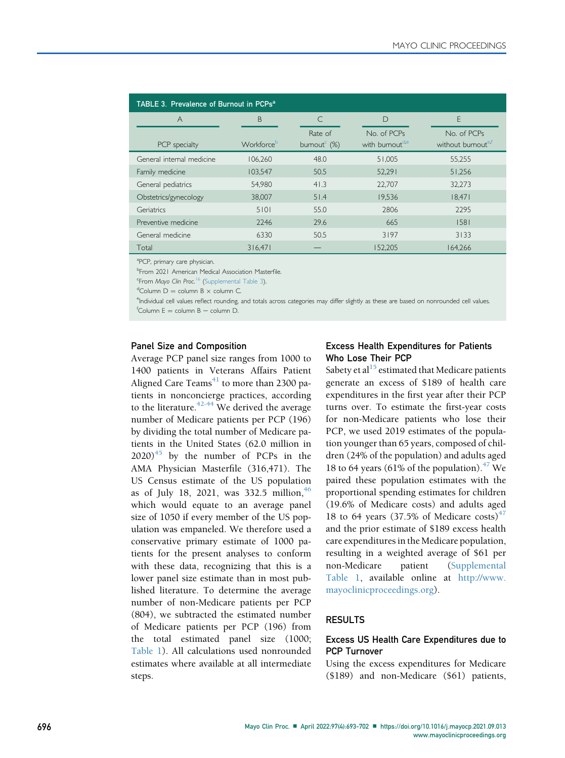<span id="page-3-6"></span>

| TABLE 3. Prevalence of Burnout in PCPs <sup>a</sup> |            |                                                        |                                           |                                               |  |  |
|-----------------------------------------------------|------------|--------------------------------------------------------|-------------------------------------------|-----------------------------------------------|--|--|
| $\forall$                                           | B          | ⊂                                                      | D                                         | F                                             |  |  |
| PCP specialty                                       | Workforceb | Rate of<br>bumout <sup><math>\epsilon</math></sup> (%) | No. of PCPs<br>with bumout <sup>d,e</sup> | No. of PCPs<br>without burnout <sup>e,f</sup> |  |  |
| General internal medicine                           | 106.260    | 48.0                                                   | 51,005                                    | 55,255                                        |  |  |
| Family medicine                                     | 103,547    | 50.5                                                   | 52,291                                    | 51.256                                        |  |  |
| General pediatrics                                  | 54.980     | 41.3                                                   | 22,707                                    | 32.273                                        |  |  |
| Obstetrics/gynecology                               | 38,007     | 51.4                                                   | 19,536                                    | 18,471                                        |  |  |
| Geriatrics                                          | 5101       | 55.0                                                   | 2806                                      | 2295                                          |  |  |
| Preventive medicine                                 | 2246       | 29.6                                                   | 665                                       | 1581                                          |  |  |
| General medicine                                    | 6330       | 50.5                                                   | 3197                                      | 3133                                          |  |  |
| Total                                               | 316,471    |                                                        | 152,205                                   | 164,266                                       |  |  |

<span id="page-3-0"></span><sup>a</sup>PCP, primary care physician.

<span id="page-3-1"></span><sup>b</sup>From 2021 American Medical Association Masterfile.

<span id="page-3-2"></span><sup>c</sup>From Mayo Clin Proc.<sup>[16](#page-8-7)</sup> (Supplemental Table 3).

<span id="page-3-4"></span><span id="page-3-3"></span><sup>d</sup>Column D = column B  $\times$  column C.

<span id="page-3-5"></span>endividual cell values reflect rounding, and totals across categories may differ slightly as these are based on nonrounded cell values.  $f$ Column E = column B – column D.

#### Panel Size and Composition

Average PCP panel size ranges from 1000 to 1400 patients in Veterans Affairs Patient Aligned Care Teams $41$  to more than 2300 patients in nonconcierge practices, according to the literature.<sup> $42-44$ </sup> We derived the average number of Medicare patients per PCP (196) by dividing the total number of Medicare patients in the United States (62.0 million in  $2020$ <sup>[45](#page-8-20)</sup> by the number of PCPs in the AMA Physician Masterfile (316,471). The US Census estimate of the US population as of July 18, 2021, was 332.5 million,  $46$ which would equate to an average panel size of 1050 if every member of the US population was empaneled. We therefore used a conservative primary estimate of 1000 patients for the present analyses to conform with these data, recognizing that this is a lower panel size estimate than in most published literature. To determine the average number of non-Medicare patients per PCP (804), we subtracted the estimated number of Medicare patients per PCP (196) from the total estimated panel size (1000; [Table 1](#page-1-8)). All calculations used nonrounded estimates where available at all intermediate steps.

## Excess Health Expenditures for Patients Who Lose Their PCP

Sabety et al<sup>[15](#page-8-6)</sup> estimated that Medicare patients generate an excess of \$189 of health care expenditures in the first year after their PCP turns over. To estimate the first-year costs for non-Medicare patients who lose their PCP, we used 2019 estimates of the population younger than 65 years, composed of children (24% of the population) and adults aged 18 to 64 years (61% of the population). $^{47}$  $^{47}$  $^{47}$  We paired these population estimates with the proportional spending estimates for children (19.6% of Medicare costs) and adults aged 18 to 64 years (37.5% of Medicare costs)<sup>[47](#page-8-26)</sup> and the prior estimate of \$189 excess health care expenditures in the Medicare population, resulting in a weighted average of \$61 per non-Medicare patient (Supplemental Table 1, available online at [http://www.](http://www.mayoclinicproceedings.org) [mayoclinicproceedings.org](http://www.mayoclinicproceedings.org)).

#### RESULTS

## Excess US Health Care Expenditures due to PCP Turnover

Using the excess expenditures for Medicare (\$189) and non-Medicare (\$61) patients,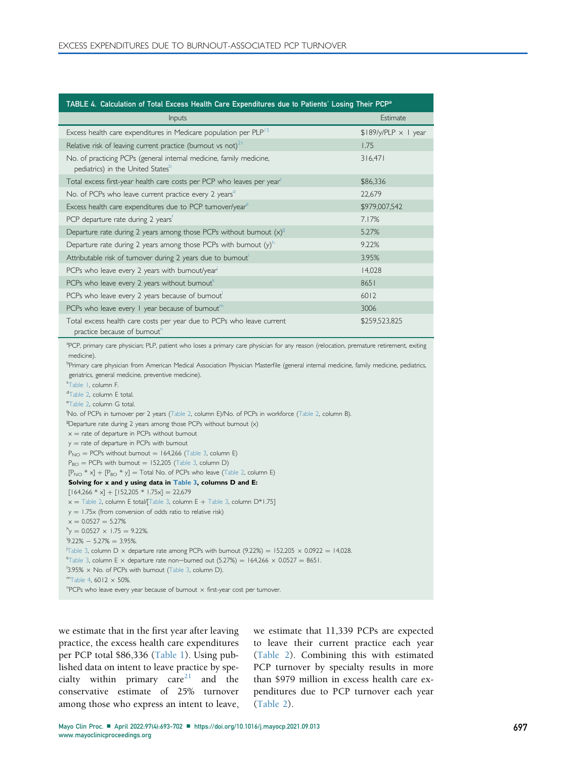<span id="page-4-2"></span><span id="page-4-1"></span><span id="page-4-0"></span>

| TABLE 4. Calculation of Total Excess Health Care Expenditures due to Patients' Losing Their PCP <sup>a</sup>                                                                                                                                                                                                                                                                                                                                                                                                                                                                                                                                                                                                                                                                                                                                                                                                                                                                                                                                                                                                                                                                                                                                                                                                                                                                                                                                                                                                                                       |                               |
|----------------------------------------------------------------------------------------------------------------------------------------------------------------------------------------------------------------------------------------------------------------------------------------------------------------------------------------------------------------------------------------------------------------------------------------------------------------------------------------------------------------------------------------------------------------------------------------------------------------------------------------------------------------------------------------------------------------------------------------------------------------------------------------------------------------------------------------------------------------------------------------------------------------------------------------------------------------------------------------------------------------------------------------------------------------------------------------------------------------------------------------------------------------------------------------------------------------------------------------------------------------------------------------------------------------------------------------------------------------------------------------------------------------------------------------------------------------------------------------------------------------------------------------------------|-------------------------------|
| Inputs                                                                                                                                                                                                                                                                                                                                                                                                                                                                                                                                                                                                                                                                                                                                                                                                                                                                                                                                                                                                                                                                                                                                                                                                                                                                                                                                                                                                                                                                                                                                             | Estimate                      |
| Excess health care expenditures in Medicare population per PLP <sup>15</sup>                                                                                                                                                                                                                                                                                                                                                                                                                                                                                                                                                                                                                                                                                                                                                                                                                                                                                                                                                                                                                                                                                                                                                                                                                                                                                                                                                                                                                                                                       | $$189$ /y/PLP $\times$ 1 year |
| Relative risk of leaving current practice (bumout vs not) $2^1$                                                                                                                                                                                                                                                                                                                                                                                                                                                                                                                                                                                                                                                                                                                                                                                                                                                                                                                                                                                                                                                                                                                                                                                                                                                                                                                                                                                                                                                                                    | 1.75                          |
| No. of practicing PCPs (general internal medicine, family medicine,<br>pediatrics) in the United States <sup>p</sup>                                                                                                                                                                                                                                                                                                                                                                                                                                                                                                                                                                                                                                                                                                                                                                                                                                                                                                                                                                                                                                                                                                                                                                                                                                                                                                                                                                                                                               | 316,471                       |
| Total excess first-year health care costs per PCP who leaves per year <sup>c</sup>                                                                                                                                                                                                                                                                                                                                                                                                                                                                                                                                                                                                                                                                                                                                                                                                                                                                                                                                                                                                                                                                                                                                                                                                                                                                                                                                                                                                                                                                 | \$86,336                      |
| No. of PCPs who leave current practice every 2 yearsd                                                                                                                                                                                                                                                                                                                                                                                                                                                                                                                                                                                                                                                                                                                                                                                                                                                                                                                                                                                                                                                                                                                                                                                                                                                                                                                                                                                                                                                                                              | 22,679                        |
| Excess health care expenditures due to PCP turnover/year <sup>e</sup>                                                                                                                                                                                                                                                                                                                                                                                                                                                                                                                                                                                                                                                                                                                                                                                                                                                                                                                                                                                                                                                                                                                                                                                                                                                                                                                                                                                                                                                                              | \$979,007,542                 |
| PCP departure rate during 2 years'                                                                                                                                                                                                                                                                                                                                                                                                                                                                                                                                                                                                                                                                                                                                                                                                                                                                                                                                                                                                                                                                                                                                                                                                                                                                                                                                                                                                                                                                                                                 | 7.17%                         |
| Departure rate during 2 years among those PCPs without burnout $(x)^{8}$                                                                                                                                                                                                                                                                                                                                                                                                                                                                                                                                                                                                                                                                                                                                                                                                                                                                                                                                                                                                                                                                                                                                                                                                                                                                                                                                                                                                                                                                           | 5.27%                         |
| Departure rate during 2 years among those PCPs with burnout $(y)^h$                                                                                                                                                                                                                                                                                                                                                                                                                                                                                                                                                                                                                                                                                                                                                                                                                                                                                                                                                                                                                                                                                                                                                                                                                                                                                                                                                                                                                                                                                | 9.22%                         |
| Attributable risk of tumover during 2 years due to bumout                                                                                                                                                                                                                                                                                                                                                                                                                                                                                                                                                                                                                                                                                                                                                                                                                                                                                                                                                                                                                                                                                                                                                                                                                                                                                                                                                                                                                                                                                          | 3.95%                         |
| PCPs who leave every 2 years with burnout/year                                                                                                                                                                                                                                                                                                                                                                                                                                                                                                                                                                                                                                                                                                                                                                                                                                                                                                                                                                                                                                                                                                                                                                                                                                                                                                                                                                                                                                                                                                     | 14,028                        |
| PCPs who leave every 2 years without burnout                                                                                                                                                                                                                                                                                                                                                                                                                                                                                                                                                                                                                                                                                                                                                                                                                                                                                                                                                                                                                                                                                                                                                                                                                                                                                                                                                                                                                                                                                                       | 8651                          |
| PCPs who leave every 2 years because of burnout                                                                                                                                                                                                                                                                                                                                                                                                                                                                                                                                                                                                                                                                                                                                                                                                                                                                                                                                                                                                                                                                                                                                                                                                                                                                                                                                                                                                                                                                                                    | 6012                          |
| PCPs who leave every $\mathsf I$ year because of burnout <sup>m</sup>                                                                                                                                                                                                                                                                                                                                                                                                                                                                                                                                                                                                                                                                                                                                                                                                                                                                                                                                                                                                                                                                                                                                                                                                                                                                                                                                                                                                                                                                              | 3006                          |
| Total excess health care costs per year due to PCPs who leave current<br>practice because of burnout"                                                                                                                                                                                                                                                                                                                                                                                                                                                                                                                                                                                                                                                                                                                                                                                                                                                                                                                                                                                                                                                                                                                                                                                                                                                                                                                                                                                                                                              | \$259,523,825                 |
| medicine).<br><sup>b</sup> Primary care physician from American Medical Association Physician Masterfile (general internal medicine, family medicine, pediatrics,<br>geriatrics, general medicine, preventive medicine).<br>"Table 1, column F.<br><sup>d</sup> Table 2, column E total.<br>eTable 2, column G total.<br>'No. of PCPs in tumover per 2 years (Table 2, column E)/No. of PCPs in workforce (Table 2, column B).<br><sup>g</sup> Departure rate during 2 years among those PCPs without burnout $(x)$<br>$x =$ rate of departure in PCPs without burnout<br>$y =$ rate of departure in PCPs with bumout<br>$P_{NO}$ = PCPs without burnout = 164,266 (Table 3, column E)<br>$P_{BO}$ = PCPs with bumout = 152,205 (Table 3, column D)<br>$[P_{NO} * x] + [P_{BO} * y] = Total No. of PCPs who leave (Table 2, column E)$<br>Solving for x and y using data in Table 3, columns D and E:<br>$[164,266 * x] + [152,205 * 1.75x] = 22,679$<br>$x =$ Table 2, column E total/[Table 3, column E + Table 3, column D*1.75]<br>$y = 1.75x$ (from conversion of odds ratio to relative risk)<br>$x = 0.0527 = 5.27\%$<br>$\gamma$ = 0.0527 $\times$ 1.75 = 9.22%.<br>$9.22\% - 5.27\% = 3.95\%.$<br>Table 3, column D $\times$ departure rate among PCPs with burnout (9.22%) = 152,205 $\times$ 0.0922 = 14,028.<br><sup>k</sup> Table 3, column E $\times$ departure rate non—bumed out (5.27%) = 164,266 $\times$ 0.0527 = 8651.<br>$\frac{1}{3.95\%}$ x No. of PCPs with burnout (Table 3, column D).<br>$mTable$ 4, 6012 $\times$ 50%. |                               |
| $n$ PCPs who leave every year because of burnout $\times$ first-year cost per turnover.                                                                                                                                                                                                                                                                                                                                                                                                                                                                                                                                                                                                                                                                                                                                                                                                                                                                                                                                                                                                                                                                                                                                                                                                                                                                                                                                                                                                                                                            |                               |

<span id="page-4-14"></span><span id="page-4-13"></span><span id="page-4-12"></span><span id="page-4-11"></span><span id="page-4-10"></span><span id="page-4-9"></span><span id="page-4-8"></span><span id="page-4-7"></span><span id="page-4-6"></span><span id="page-4-5"></span><span id="page-4-4"></span><span id="page-4-3"></span>we estimate that in the first year after leaving practice, the excess health care expenditures per PCP total \$86,336 ([Table 1](#page-1-8)). Using published data on intent to leave practice by specialty within primary  $care<sup>21</sup>$  $care<sup>21</sup>$  $care<sup>21</sup>$  and the conservative estimate of 25% turnover among those who express an intent to leave,

we estimate that 11,339 PCPs are expected to leave their current practice each year [\(Table 2](#page-2-8)). Combining this with estimated PCP turnover by specialty results in more than \$979 million in excess health care expenditures due to PCP turnover each year [\(Table 2](#page-2-8)).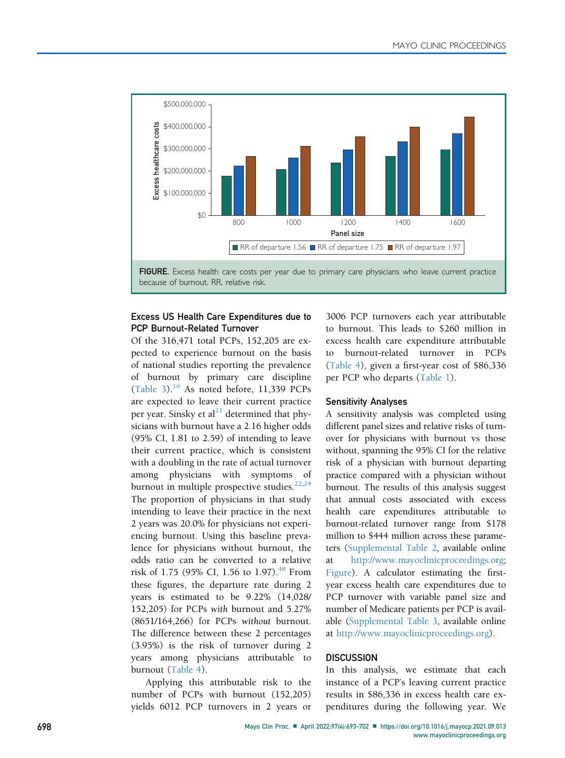<span id="page-5-0"></span>

## Excess US Health Care Expenditures due to PCP Burnout-Related Turnover

Of the 316,471 total PCPs, 152,205 are expected to experience burnout on the basis of national studies reporting the prevalence of burnout by primary care discipline [\(Table 3\)](#page-3-6).<sup>[16](#page-8-7)</sup> As noted before, 11,339 PCPs are expected to leave their current practice per year. Sinsky et al $^{21}$  $^{21}$  $^{21}$  determined that physicians with burnout have a 2.16 higher odds (95% CI, 1.81 to 2.59) of intending to leave their current practice, which is consistent with a doubling in the rate of actual turnover among physicians with symptoms of burnout in multiple prospective studies. $22,24$  $22,24$ The proportion of physicians in that study intending to leave their practice in the next 2 years was 20.0% for physicians not experiencing burnout. Using this baseline prevalence for physicians without burnout, the odds ratio can be converted to a relative risk of 1.75 (95% CI, 1.56 to 1.97).<sup>[48](#page-8-27)</sup> From these figures, the departure rate during 2 years is estimated to be 9.22% (14,028/ 152,205) for PCPs with burnout and 5.27% (8651/164,266) for PCPs without burnout. The difference between these 2 percentages (3.95%) is the risk of turnover during 2 years among physicians attributable to burnout [\(Table 4](#page-4-0)).

Applying this attributable risk to the number of PCPs with burnout (152,205) yields 6012 PCP turnovers in 2 years or 3006 PCP turnovers each year attributable to burnout. This leads to \$260 million in excess health care expenditure attributable burnout-related turnover in PCPs [\(Table 4\)](#page-4-0), given a first-year cost of \$86,336 per PCP who departs [\(Table 1](#page-1-8)).

### Sensitivity Analyses

A sensitivity analysis was completed using different panel sizes and relative risks of turnover for physicians with burnout vs those without, spanning the 95% CI for the relative risk of a physician with burnout departing practice compared with a physician without burnout. The results of this analysis suggest that annual costs associated with excess health care expenditures attributable to burnout-related turnover range from \$178 million to \$444 million across these parameters (Supplemental Table 2, available online at [http://www.mayoclinicproceedings.org;](http://www.mayoclinicproceedings.org) [Figure\)](#page-5-0). A calculator estimating the firstyear excess health care expenditures due to PCP turnover with variable panel size and number of Medicare patients per PCP is available (Supplemental Table 3, available online at [http://www.mayoclinicproceedings.org\)](http://www.mayoclinicproceedings.org).

#### **DISCUSSION**

In this analysis, we estimate that each instance of a PCP's leaving current practice results in \$86,336 in excess health care expenditures during the following year. We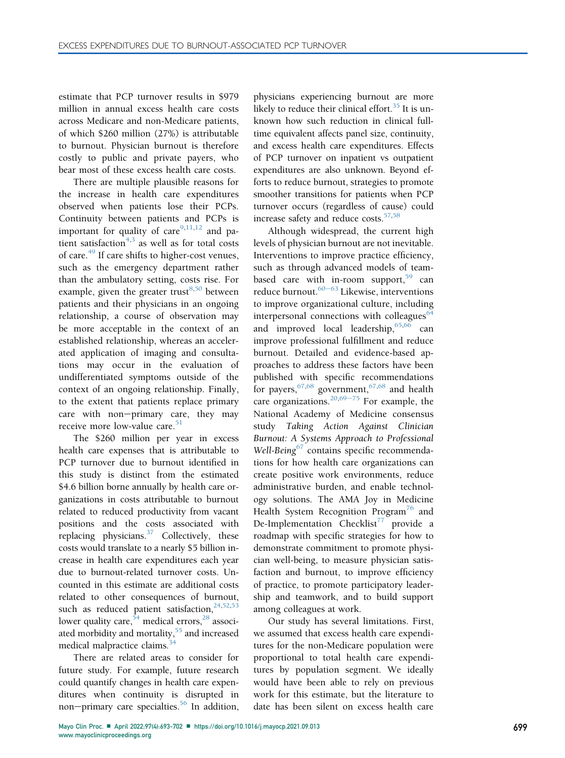estimate that PCP turnover results in \$979 million in annual excess health care costs across Medicare and non-Medicare patients, of which \$260 million (27%) is attributable to burnout. Physician burnout is therefore costly to public and private payers, who bear most of these excess health care costs.

There are multiple plausible reasons for the increase in health care expenditures observed when patients lose their PCPs. Continuity between patients and PCPs is important for quality of care $9,11,12$  $9,11,12$  $9,11,12$  and pa-tient satisfaction<sup>[4](#page-7-4),[3](#page-7-7)</sup> as well as for total costs of care.[49](#page-9-0) If care shifts to higher-cost venues, such as the emergency department rather than the ambulatory setting, costs rise. For example, given the greater trust<sup>[8,](#page-7-6)[50](#page-9-1)</sup> between patients and their physicians in an ongoing relationship, a course of observation may be more acceptable in the context of an established relationship, whereas an accelerated application of imaging and consultations may occur in the evaluation of undifferentiated symptoms outside of the context of an ongoing relationship. Finally, to the extent that patients replace primary care with non-primary care, they may receive more low-value care. $51$ 

The \$260 million per year in excess health care expenses that is attributable to PCP turnover due to burnout identified in this study is distinct from the estimated \$4.6 billion borne annually by health care organizations in costs attributable to burnout related to reduced productivity from vacant positions and the costs associated with replacing physicians.<sup>37</sup> Collectively, these costs would translate to a nearly \$5 billion increase in health care expenditures each year due to burnout-related turnover costs. Uncounted in this estimate are additional costs related to other consequences of burnout, such as reduced patient satisfaction,  $24,52,53$  $24,52,53$  $24,52,53$  $24,52,53$ lower quality care,  $54$  medical errors,  $28$  associated morbidity and mortality,<sup>55</sup> and increased medical malpractice claims.<sup>3</sup>

There are related areas to consider for future study. For example, future research could quantify changes in health care expenditures when continuity is disrupted in non-primary care specialties.<sup>56</sup> In addition,

physicians experiencing burnout are more likely to reduce their clinical effort.<sup>35</sup> It is unknown how such reduction in clinical fulltime equivalent affects panel size, continuity, and excess health care expenditures. Effects of PCP turnover on inpatient vs outpatient expenditures are also unknown. Beyond efforts to reduce burnout, strategies to promote smoother transitions for patients when PCP turnover occurs (regardless of cause) could increase safety and reduce costs.<sup>57,[58](#page-9-9)</sup>

Although widespread, the current high levels of physician burnout are not inevitable. Interventions to improve practice efficiency, such as through advanced models of teambased care with in-room support,  $59$  can reduce burnout. $60-63$  $60-63$  $60-63$  Likewise, interventions to improve organizational culture, including interpersonal connections with colleagues $64$ and improved local leadership,  $65,66$  $65,66$  $65,66$  can improve professional fulfillment and reduce burnout. Detailed and evidence-based approaches to address these factors have been published with specific recommendations for payers,  $67,68$  $67,68$  government,  $67,68$  and health care organizations.<sup>[20](#page-8-29)[,69](#page-9-17)–[75](#page-9-17)</sup> For example, the National Academy of Medicine consensus study Taking Action Against Clinician<br>Burnout: A Systems-Approach-to-Professional  $\text{Well-Being}^{67}$  contains specific recommenda-<br>tions for how health care organizations can tions for how health care organizations can create positive work environments, reduce administrative burden, and enable technology solutions. The AMA Joy in Medicine Health System Recognition Program<sup>[76](#page-9-18)</sup> and De-Implementation Checklist<sup>[77](#page-9-19)</sup> provide a roadmap with specific strategies for how to demonstrate commitment to promote physician well-being, to measure physician satisfaction and burnout, to improve efficiency of practice, to promote participatory leadership and teamwork, and to build support among colleagues at work.

Our study has several limitations. First, we assumed that excess health care expenditures for the non-Medicare population were proportional to total health care expenditures by population segment. We ideally would have been able to rely on previous work for this estimate, but the literature to date has been silent on excess health care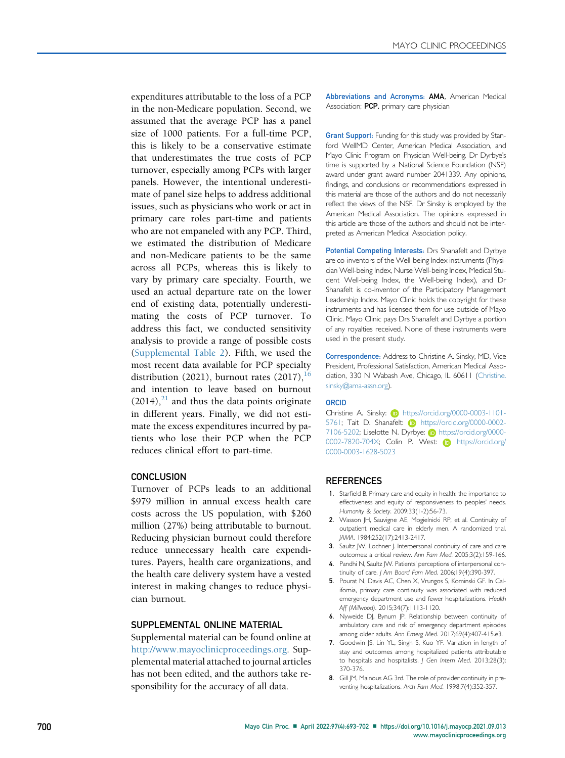expenditures attributable to the loss of a PCP in the non-Medicare population. Second, we assumed that the average PCP has a panel size of 1000 patients. For a full-time PCP, this is likely to be a conservative estimate that underestimates the true costs of PCP turnover, especially among PCPs with larger panels. However, the intentional underestimate of panel size helps to address additional issues, such as physicians who work or act in primary care roles part-time and patients who are not empaneled with any PCP. Third, we estimated the distribution of Medicare and non-Medicare patients to be the same across all PCPs, whereas this is likely to vary by primary care specialty. Fourth, we used an actual departure rate on the lower end of existing data, potentially underestimating the costs of PCP turnover. To address this fact, we conducted sensitivity analysis to provide a range of possible costs (Supplemental Table 2). Fifth, we used the most recent data available for PCP specialty distribution (2021), burnout rates  $(2017)$ ,  $^{16}$  $^{16}$  $^{16}$ and intention to leave based on burnout  $(2014)$ ,<sup>[21](#page-8-8)</sup> and thus the data points originate in different years. Finally, we did not estimate the excess expenditures incurred by patients who lose their PCP when the PCP reduces clinical effort to part-time.

## **CONCLUSION**

Turnover of PCPs leads to an additional \$979 million in annual excess health care costs across the US population, with \$260 million (27%) being attributable to burnout. Reducing physician burnout could therefore reduce unnecessary health care expenditures. Payers, health care organizations, and the health care delivery system have a vested interest in making changes to reduce physician burnout.

#### SUPPLEMENTAL ONLINE MATERIAL

Supplemental material can be found online at [http://www.mayoclinicproceedings.org.](http://www.mayoclinicproceedings.org) Supplemental material attached to journal articles has not been edited, and the authors take responsibility for the accuracy of all data.

Abbreviations and Acronyms: AMA, American Medical Association; PCP, primary care physician

Grant Support: Funding for this study was provided by Stanford WellMD Center, American Medical Association, and Mayo Clinic Program on Physician Well-being. Dr Dyrbye's time is supported by a National Science Foundation (NSF) award under grant award number 2041339. Any opinions, findings, and conclusions or recommendations expressed in this material are those of the authors and do not necessarily reflect the views of the NSF. Dr Sinsky is employed by the American Medical Association. The opinions expressed in this article are those of the authors and should not be interpreted as American Medical Association policy.

Potential Competing Interests: Drs Shanafelt and Dyrbye are co-inventors of the Well-being Index instruments (Physician Well-being Index, Nurse Well-being Index, Medical Student Well-being Index, the Well-being Index), and Dr Shanafelt is co-inventor of the Participatory Management Leadership Index. Mayo Clinic holds the copyright for these instruments and has licensed them for use outside of Mayo Clinic. Mayo Clinic pays Drs Shanafelt and Dyrbye a portion of any royalties received. None of these instruments were used in the present study.

Correspondence: Address to Christine A. Sinsky, MD, Vice President, Professional Satisfaction, American Medical Association, 330 N Wabash Ave, Chicago, IL 60611 ([Christine.](mailto:Christine.sinsky@ama-assn.org) [sinsky@ama-assn.org\)](mailto:Christine.sinsky@ama-assn.org).

#### **ORCID**

Christine A. Sinsky: (b) [https://orcid.org/0000-0003-1101-](https://orcid.org/0000-0003-1101-5761) [5761; Tait D. Shanafelt:](https://orcid.org/0000-0003-1101-5761) **iD** [https://orcid.org/0000-0002-](https://orcid.org/0000-0002-7106-5202) [7106-5202; Liselotte N. Dyrbye:](https://orcid.org/0000-0002-7106-5202) n [https://orcid.org/0000-](https://orcid.org/0000-0002-7820-704X) [0002-7820-704X; Colin P. West:](https://orcid.org/0000-0002-7820-704X) **i** [https://orcid.org/](https://orcid.org/0000-0003-1628-5023) [0000-0003-1628-5023](https://orcid.org/0000-0003-1628-5023)

#### **REFERENCES**

- <span id="page-7-0"></span>1. Starfield B. Primary care and equity in health: the importance to effectiveness and equity of responsiveness to peoples' needs. Humanity & Society. 2009;33(1-2):56-73.
- <span id="page-7-1"></span>2. Wasson JH, Sauvigne AE, Mogielnicki RP, et al. Continuity of outpatient medical care in elderly men. A randomized trial. JAMA. 1984;252(17):2413-2417.
- <span id="page-7-7"></span>3. Saultz JW, Lochner J. Interpersonal continuity of care and care outcomes: a critical review. Ann Fam Med. 2005;3(2):159-166.
- <span id="page-7-4"></span>4. Pandhi N, Saultz JW. Patients' perceptions of interpersonal continuity of care. J Am Board Fam Med. 2006;19(4):390-397.
- <span id="page-7-2"></span>5. Pourat N, Davis AC, Chen X, Vrungos S, Kominski GF. In California, primary care continuity was associated with reduced emergency department use and fewer hospitalizations. Health Aff (Millwood). 2015;34(7):1113-1120.
- <span id="page-7-3"></span>6. Nyweide DJ, Bynum JP. Relationship between continuity of ambulatory care and risk of emergency department episodes among older adults. Ann Emerg Med. 2017;69(4):407-415.e3.
- <span id="page-7-5"></span>7. Goodwin JS, Lin YL, Singh S, Kuo YF. Variation in length of stay and outcomes among hospitalized patients attributable to hospitals and hospitalists. J Gen Intern Med. 2013;28(3): 370-376.
- <span id="page-7-6"></span>8. Gill JM, Mainous AG 3rd. The role of provider continuity in preventing hospitalizations. Arch Fam Med. 1998;7(4):352-357.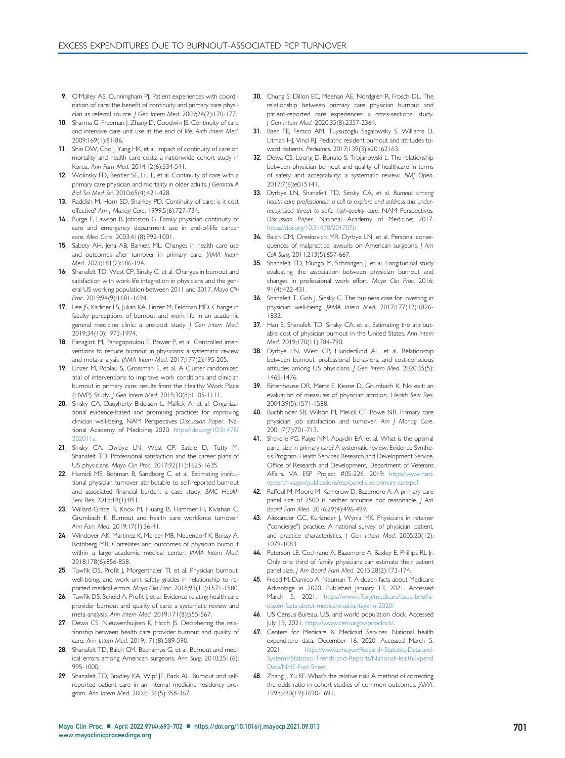- <span id="page-8-0"></span>9. O'Malley AS, Cunningham PJ. Patient experiences with coordination of care: the benefit of continuity and primary care physician as referral source. J Gen Intern Med. 2009;24(2):170-177.
- <span id="page-8-1"></span>10. Sharma G, Freeman J, Zhang D, Goodwin JS. Continuity of care and intensive care unit use at the end of life. Arch Intern Med. 2009;169(1):81-86.
- <span id="page-8-2"></span>11. Shin DW, Cho J, Yang HK, et al. Impact of continuity of care on mortality and health care costs: a nationwide cohort study in Korea. Ann Fam Med. 2014;12(6):534-541.
- <span id="page-8-3"></span>12. Wolinsky FD, Bentler SE, Liu L, et al. Continuity of care with a primary care physician and mortality in older adults. J Gerontol A Biol Sci Med Sci. 2010;65(4):421-428.
- <span id="page-8-4"></span>13. Raddish M, Horn SD, Sharkey PD. Continuity of care: is it cost effective? Am J Manag Care. 1999;5(6):727-734.
- <span id="page-8-5"></span>14. Burge F, Lawson B, Johnston G. Family physician continuity of care and emergency department use in end-of-life cancer care. Med Care. 2003;41(8):992-1001.
- <span id="page-8-6"></span>15. Sabety AH, Jena AB, Barnett ML. Changes in health care use and outcomes after turnover in primary care. JAMA Intern Med. 2021;181(2):186-194.
- <span id="page-8-7"></span>16. Shanafelt TD, West CP, Sinsky C, et al. Changes in burnout and satisfaction with work-life integration in physicians and the general US working population between 2011 and 2017. Mayo Clin Proc. 2019;94(9):1681-1694.
- 17. Lee JS, Karliner LS, Julian KA, Linzer M, Feldman MD. Change in faculty perceptions of burnout and work life in an academic general medicine clinic: a pre-post study. J Gen Intern Med. 2019;34(10):1973-1974.
- 18. Panagioti M, Panagopoulou E, Bower P, et al. Controlled interventions to reduce burnout in physicians: a systematic review and meta-analysis. JAMA Intern Med. 2017;177(2):195-205.
- 19. Linzer M, Poplau S, Grossman E, et al. A Cluster randomized trial of interventions to improve work conditions and clinician burnout in primary care: results from the Healthy Work Place (HWP) Study. J Gen Intern Med. 2015;30(8):1105-1111.
- <span id="page-8-29"></span>20. Sinsky CA, Daugherty Biddison L, Mallick A, et al. Organizational evidence-based and promising practices for improving clinician well-being, NAM Perspectives Discussion Paper.. National Academy of Medicine; 2020[. https://doi.org/10.31478/](https://doi.org/10.31478/202011a) [202011a](https://doi.org/10.31478/202011a)
- <span id="page-8-8"></span>21. Sinsky CA, Dyrbye LN, West CP, Satele D, Tutty M, Shanafelt TD. Professional satisfaction and the career plans of US physicians. Mayo Clin Proc. 2017;92(11):1625-1635.
- <span id="page-8-16"></span>22. Hamidi MS, Bohman B, Sandborg C, et al. Estimating institutional physician turnover attributable to self-reported burnout and associated financial burden: a case study. BMC Health Serv Res. 2018;18(1):851.
- 23. Willard-Grace R, Knox M, Huang B, Hammer H, Kivlahan C, Grumbach K. Burnout and health care workforce turnover. Ann Fam Med. 2019;17(1):36-41.
- <span id="page-8-9"></span>24. Windover AK, Martinez K, Mercer MB, Neuendorf K, Boissy A, Rothberg MB. Correlates and outcomes of physician burnout within a large academic medical center. JAMA Intern Med. 2018;178(6):856-858.
- 25. Tawfik DS, Profit J, Morgenthaler TI, et al. Physician burnout, well-being, and work unit safety grades in relationship to reported medical errors. Mayo Clin Proc. 2018;93(11):1571-1580.
- 26. Tawfik DS, Scheid A, Profit J, et al. Evidence relating health care provider burnout and quality of care: a systematic review and meta-analysis. Ann Intern Med. 2019;171(8):555-567.
- 27. Dewa CS, Nieuwenhuijsen K, Hoch JS. Deciphering the relationship between health care provider burnout and quality of care. Ann Intern Med. 2019;171(8):589-590.
- <span id="page-8-28"></span>28. Shanafelt TD, Balch CM, Bechamps G, et al. Burnout and medical errors among American surgeons. Ann Surg. 2010;251(6): 995-1000.
- 29. Shanafelt TD, Bradley KA, Wipf JE, Back AL. Burnout and selfreported patient care in an internal medicine residency program. Ann Intern Med. 2002;136(5):358-367.
- <span id="page-8-21"></span>30. Chung S, Dillon EC, Meehan AE, Nordgren R, Frosch DL. The relationship between primary care physician burnout and patient-reported care experiences: a cross-sectional study. J Gen Intern Med. 2020;35(8):2357-2364.
- 31. Baer TE, Feraco AM, Tuysuzoglu Sagalowsky S, Williams D, Litman HJ, Vinci RJ. Pediatric resident burnout and attitudes toward patients. Pediatrics. 2017;139(3):e20162163.
- 32. Dewa CS, Loong D, Bonato S, Trojanowski L. The relationship between physician burnout and quality of healthcare in terms of safety and acceptability: a systematic review. BMJ Open. 2017;7(6):e015141.
- <span id="page-8-10"></span>33. Dyrbye LN, Shanafelt TD, Sinsky CA, et al. Burnout among health care professionals: a call to explore and address this underrecognized threat to safe, high-quality care. NAM Perspectives. Discussion Paper. National Academy of Medicine; 201[7.](https://doi.org/10.31478/201707b) <https://doi.org/10.31478/201707b>
- <span id="page-8-11"></span>34. Balch CM, Oreskovich MR, Dyrbye LN, et al. Personal consequences of malpractice lawsuits on American surgeons. J Am Coll Surg. 2011;213(5):657-667.
- <span id="page-8-23"></span><span id="page-8-22"></span><span id="page-8-12"></span>35. Shanafelt TD, Mungo M, Schmitgen J, et al. Longitudinal study evaluating the association between physician burnout and changes in professional work effort. Mayo Clin Proc. 2016; 91(4):422-431.
- <span id="page-8-13"></span>36. Shanafelt T, Goh J, Sinsky C. The business case for investing in physician well-being. JAMA Intern Med. 2017;177(12):1826- 1832.
- <span id="page-8-14"></span>37. Han S, Shanafelt TD, Sinsky CA, et al. Estimating the attributable cost of physician burnout in the United States. Ann Intern Med. 2019;170(11):784-790.
- <span id="page-8-15"></span>38. Dyrbye LN, West CP, Hunderfund AL, et al. Relationship between burnout, professional behaviors, and cost-conscious attitudes among US physicians. J Gen Intern Med. 2020;35(5): 1465-1476.
- <span id="page-8-17"></span>39. Rittenhouse DR, Mertz E, Keane D, Grumbach K. No exit: an evaluation of measures of physician attrition. Health Serv Res. 2004;39(5):1571-1588.
- <span id="page-8-18"></span>40. Buchbinder SB, Wilson M, Melick CF, Powe NR. Primary care physician job satisfaction and turnover. Am J Manag Care. 2001;7(7):701-713.
- <span id="page-8-24"></span>41. Shekelle PG, Paige NM, Apaydin EA, et al. What is the optimal panel size in primary care? A systematic review. Evidence Synthesis Program, Health Services Research and Development Service, Office of Research and Development, Department of Veterans Affairs. VA ESP Project #05-226. 2019: [https://www.hsrd.](https://www.hsrd.research.va.gov/publications/esp/panel-size-primary-care.pdf) [research.va.gov/publications/esp/panel-size-primary-care.pdf](https://www.hsrd.research.va.gov/publications/esp/panel-size-primary-care.pdf)
- <span id="page-8-19"></span>42. Raffoul M, Moore M, Kamerow D, Bazemore A. A primary care panel size of 2500 is neither accurate nor reasonable. J Am Board Fam Med. 2016;29(4):496-499.
- 43. Alexander GC, Kurlander J, Wynia MK. Physicians in retainer ("concierge") practice. A national survey of physician, patient, and practice characteristics. J Gen Intern Med. 2005;20(12): 1079-1083.
- 44. Peterson LE, Cochrane A, Bazemore A, Baxley E, Phillips RL Jr. Only one third of family physicians can estimate their patient panel size. J Am Board Fam Med. 2015;28(2):173-174.
- <span id="page-8-20"></span>45. Freed M, Damico A, Neuman T. A dozen facts about Medicare Advantage in 2020. Published January 13, 2021. Accessed March 5, 2021. [https://www.kfforg/medicare/issue-brief/a](https://www.kfforg/medicare/issue-brief/a-dozen-facts-about-medicare-advantage-in-2020/)[dozen-facts-about-medicare-advantage-in-2020/](https://www.kfforg/medicare/issue-brief/a-dozen-facts-about-medicare-advantage-in-2020/)
- <span id="page-8-25"></span>46. US Census Bureau. U.S. and world population clock. Accessed July 19, 2021. [https://www.censusgov/popclock/.](https://www.censusgov/popclock/)
- <span id="page-8-26"></span>47. Centers for Medicare & Medicaid Services. National health expenditure data. December 16, 2020. Accessed March 5, 2021. https://www.cms.[gov/Research-Statistics-Data-and-](https://www.cms.gov/Research-Statistics-Data-and-Systems/Statistics-Trends-and-Reports/NationalHealthExpendData/NHE-Fact-Sheet)[Systems/Statistics-Trends-and-Reports/NationalHealthExpend](https://www.cms.gov/Research-Statistics-Data-and-Systems/Statistics-Trends-and-Reports/NationalHealthExpendData/NHE-Fact-Sheet) [Data/NHE-Fact-Sheet](https://www.cms.gov/Research-Statistics-Data-and-Systems/Statistics-Trends-and-Reports/NationalHealthExpendData/NHE-Fact-Sheet)
- <span id="page-8-27"></span>48. Zhang J, Yu KF. What's the relative risk? A method of correcting the odds ratio in cohort studies of common outcomes. JAMA. 1998;280(19):1690-1691.